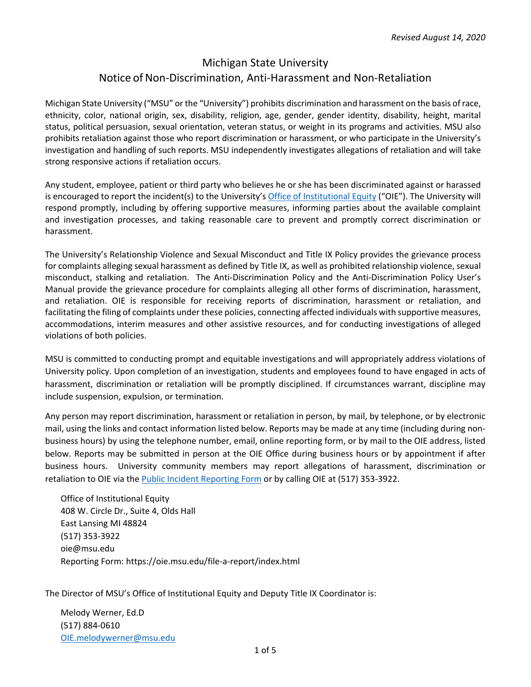## Michigan State University Notice of Non-Discrimination, Anti-Harassment and Non-Retaliation

Michigan State University ("MSU" or the "University") prohibits discrimination and harassment on the basis ofrace, ethnicity, color, national origin, sex, disability, religion, age, gender, gender identity, disability, height, marital status, political persuasion, sexual orientation, veteran status, or weight in its programs and activities. MSU also prohibits retaliation against those who report discrimination or harassment, or who participate in the University's investigation and handling of such reports. MSU independently investigates allegations of retaliation and will take strong responsive actions if retaliation occurs.

Any student, employee, patient or third party who believes he or she has been discriminated against or harassed is encouraged to report the incident(s) to the University's Office of Institutional Equity ("OIE"). The University will respond promptly, including by offering supportive measures, informing parties about the available complaint and investigation processes, and taking reasonable care to prevent and promptly correct discrimination or harassment.

The University's Relationship Violence and Sexual Misconduct and Title IX Policy provides the grievance process for complaints alleging sexual harassment as defined by Title IX, as well as prohibited relationship violence, sexual misconduct, stalking and retaliation. The Anti‐Discrimination Policy and the Anti‐Discrimination Policy User's Manual provide the grievance procedure for complaints alleging all other forms of discrimination, harassment, and retaliation. OIE is responsible for receiving reports of discrimination, harassment or retaliation, and facilitating the filing of complaints under these policies, connecting affected individuals with supportive measures, accommodations, interim measures and other assistive resources, and for conducting investigations of alleged violations of both policies.

MSU is committed to conducting prompt and equitable investigations and will appropriately address violations of University policy. Upon completion of an investigation, students and employees found to have engaged in acts of harassment, discrimination or retaliation will be promptly disciplined. If circumstances warrant, discipline may include suspension, expulsion, or termination.

Any person may report discrimination, harassment or retaliation in person, by mail, by telephone, or by electronic mail, using the links and contact information listed below. Reports may be made at any time (including during non‐ business hours) by using the telephone number, email, online reporting form, or by mail to the OIE address, listed below. Reports may be submitted in person at the OIE Office during business hours or by appointment if after business hours. University community members may report allegations of harassment, discrimination or retaliation to OIE via the Public Incident Reporting Form or by calling OIE at (517) 353-3922.

Office of Institutional Equity 408 W. Circle Dr., Suite 4, Olds Hall East Lansing MI 48824 (517) 353‐3922 oie@msu.edu Reporting Form: https://oie.msu.edu/file‐a‐report/index.html

The Director of MSU's Office of Institutional Equity and Deputy Title IX Coordinator is:

Melody Werner, Ed.D (517) 884‐0610 OIE.melodywerner@msu.edu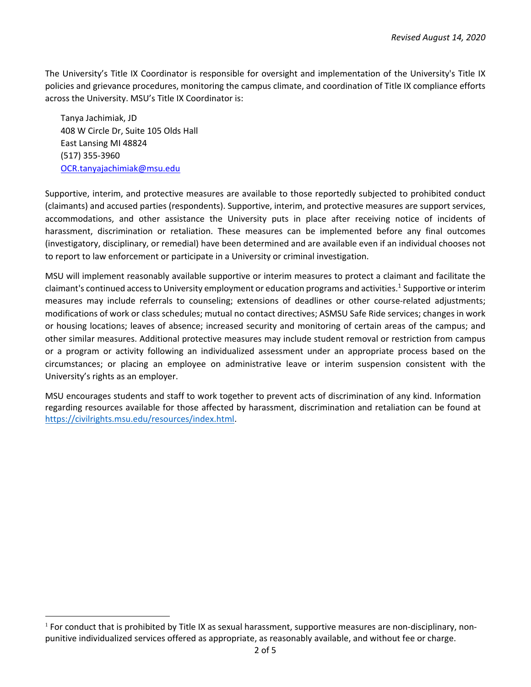The University's Title IX Coordinator is responsible for oversight and implementation of the University's Title IX policies and grievance procedures, monitoring the campus climate, and coordination of Title IX compliance efforts across the University. MSU's Title IX Coordinator is:

Tanya Jachimiak, JD 408 W Circle Dr, Suite 105 Olds Hall East Lansing MI 48824 (517) 355‐3960 OCR.tanyajachimiak@msu.edu

Supportive, interim, and protective measures are available to those reportedly subjected to prohibited conduct (claimants) and accused parties (respondents). Supportive, interim, and protective measures are support services, accommodations, and other assistance the University puts in place after receiving notice of incidents of harassment, discrimination or retaliation. These measures can be implemented before any final outcomes (investigatory, disciplinary, or remedial) have been determined and are available even if an individual chooses not to report to law enforcement or participate in a University or criminal investigation.

MSU will implement reasonably available supportive or interim measures to protect a claimant and facilitate the claimant's continued accessto University employment or education programs and activities.1 Supportive or interim measures may include referrals to counseling; extensions of deadlines or other course-related adjustments; modifications of work or class schedules; mutual no contact directives; ASMSU Safe Ride services; changes in work or housing locations; leaves of absence; increased security and monitoring of certain areas of the campus; and other similar measures. Additional protective measures may include student removal or restriction from campus or a program or activity following an individualized assessment under an appropriate process based on the circumstances; or placing an employee on administrative leave or interim suspension consistent with the University's rights as an employer.

MSU encourages students and staff to work together to prevent acts of discrimination of any kind. Information regarding resources available for those affected by harassment, discrimination and retaliation can be found at https://civilrights.msu.edu/resources/index.html.

 $1$  For conduct that is prohibited by Title IX as sexual harassment, supportive measures are non-disciplinary, nonpunitive individualized services offered as appropriate, as reasonably available, and without fee or charge.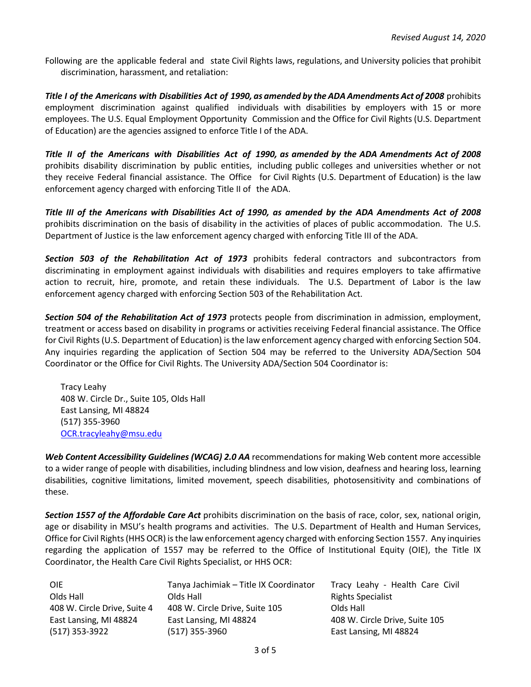Following are the applicable federal and state Civil Rights laws, regulations, and University policies that prohibit discrimination, harassment, and retaliation:

Title I of the Americans with Disabilities Act of 1990, as amended by the ADA Amendments Act of 2008 prohibits employment discrimination against qualified individuals with disabilities by employers with 15 or more employees. The U.S. Equal Employment Opportunity Commission and the Office for Civil Rights (U.S. Department of Education) are the agencies assigned to enforce Title I of the ADA.

Title II of the Americans with Disabilities Act of 1990, as amended by the ADA Amendments Act of 2008 prohibits disability discrimination by public entities, including public colleges and universities whether or not they receive Federal financial assistance. The Office for Civil Rights (U.S. Department of Education) is the law enforcement agency charged with enforcing Title II of the ADA.

Title III of the Americans with Disabilities Act of 1990, as amended by the ADA Amendments Act of 2008 prohibits discrimination on the basis of disability in the activities of places of public accommodation. The U.S. Department of Justice is the law enforcement agency charged with enforcing Title III of the ADA.

*Section 503 of the Rehabilitation Act of 1973* prohibits federal contractors and subcontractors from discriminating in employment against individuals with disabilities and requires employers to take affirmative action to recruit, hire, promote, and retain these individuals. The U.S. Department of Labor is the law enforcement agency charged with enforcing Section 503 of the Rehabilitation Act.

*Section 504 of the Rehabilitation Act of 1973* protects people from discrimination in admission, employment, treatment or access based on disability in programs or activities receiving Federal financial assistance. The Office for Civil Rights(U.S. Department of Education) isthe law enforcement agency charged with enforcing Section 504. Any inquiries regarding the application of Section 504 may be referred to the University ADA/Section 504 Coordinator or the Office for Civil Rights. The University ADA/Section 504 Coordinator is:

Tracy Leahy 408 W. Circle Dr., Suite 105, Olds Hall East Lansing, MI 48824 (517) 355‐3960 OCR.tracyleahy@msu.edu

*Web Content Accessibility Guidelines (WCAG) 2.0 AA* recommendations for making Web content more accessible to a wider range of people with disabilities, including blindness and low vision, deafness and hearing loss, learning disabilities, cognitive limitations, limited movement, speech disabilities, photosensitivity and combinations of these.

*Section 1557 of the Affordable Care Act* prohibits discrimination on the basis of race, color, sex, national origin, age or disability in MSU's health programs and activities. The U.S. Department of Health and Human Services, Office for Civil Rights(HHS OCR) isthe law enforcement agency charged with enforcing Section 1557. Any inquiries regarding the application of 1557 may be referred to the Office of Institutional Equity (OIE), the Title IX Coordinator, the Health Care Civil Rights Specialist, or HHS OCR:

| <b>OIE</b>                   | Tanya Jachimiak - Title IX Coordinator | Tracy Leahy - Health Care Civil |
|------------------------------|----------------------------------------|---------------------------------|
| Olds Hall                    | Olds Hall                              | <b>Rights Specialist</b>        |
| 408 W. Circle Drive, Suite 4 | 408 W. Circle Drive, Suite 105         | Olds Hall                       |
| East Lansing, MI 48824       | East Lansing, MI 48824                 | 408 W. Circle Drive, Suite 105  |
| (517) 353-3922               | (517) 355-3960                         | East Lansing, MI 48824          |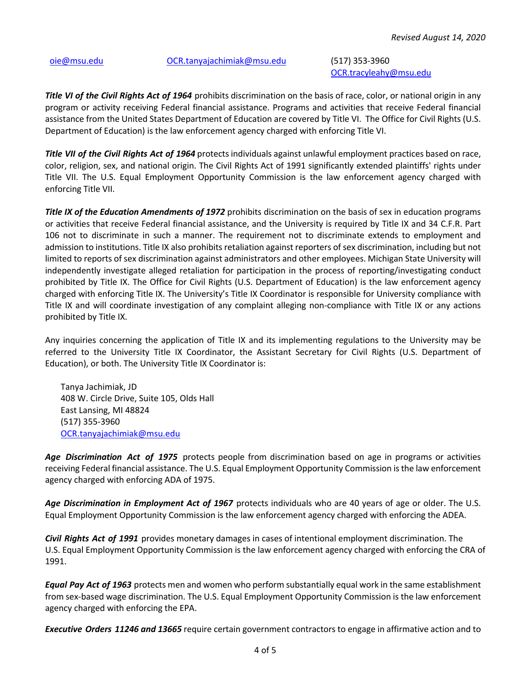## oie@msu.edu OCR.tanyajachimiak@msu.edu (517) 353‐3960

OCR.tracyleahy@msu.edu

*Title VI of the Civil Rights Act of 1964* prohibits discrimination on the basis of race, color, or national origin in any program or activity receiving Federal financial assistance. Programs and activities that receive Federal financial assistance from the United States Department of Education are covered by Title VI. The Office for Civil Rights (U.S. Department of Education) is the law enforcement agency charged with enforcing Title VI.

*Title VII of the Civil Rights Act of 1964* protectsindividuals against unlawful employment practices based on race, color, religion, sex, and national origin. The Civil Rights Act of 1991 significantly extended plaintiffs' rights under Title VII. The U.S. Equal Employment Opportunity Commission is the law enforcement agency charged with enforcing Title VII.

*Title IX of the Education Amendments of 1972* prohibits discrimination on the basis of sex in education programs or activities that receive Federal financial assistance, and the University is required by Title IX and 34 C.F.R. Part 106 not to discriminate in such a manner. The requirement not to discriminate extends to employment and admission to institutions. Title IX also prohibits retaliation against reporters of sex discrimination, including but not limited to reports of sex discrimination against administrators and other employees. Michigan State University will independently investigate alleged retaliation for participation in the process of reporting/investigating conduct prohibited by Title IX. The Office for Civil Rights (U.S. Department of Education) is the law enforcement agency charged with enforcing Title IX. The University's Title IX Coordinator is responsible for University compliance with Title IX and will coordinate investigation of any complaint alleging non‐compliance with Title IX or any actions prohibited by Title IX.

Any inquiries concerning the application of Title IX and its implementing regulations to the University may be referred to the University Title IX Coordinator, the Assistant Secretary for Civil Rights (U.S. Department of Education), or both. The University Title IX Coordinator is:

Tanya Jachimiak, JD 408 W. Circle Drive, Suite 105, Olds Hall East Lansing, MI 48824 (517) 355‐3960 OCR.tanyajachimiak@msu.edu

*Age Discrimination Act of 1975* protects people from discrimination based on age in programs or activities receiving Federal financial assistance. The U.S. Equal Employment Opportunity Commission isthe law enforcement agency charged with enforcing ADA of 1975.

*Age Discrimination in Employment Act of 1967* protects individuals who are 40 years of age or older. The U.S. Equal Employment Opportunity Commission is the law enforcement agency charged with enforcing the ADEA.

*Civil Rights Act of 1991* provides monetary damages in cases of intentional employment discrimination. The U.S. Equal Employment Opportunity Commission is the law enforcement agency charged with enforcing the CRA of 1991.

*Equal Pay Act of 1963* protects men and women who perform substantially equal work in the same establishment from sex-based wage discrimination. The U.S. Equal Employment Opportunity Commission is the law enforcement agency charged with enforcing the EPA.

*Executive Orders 11246 and 13665* require certain government contractors to engage in affirmative action and to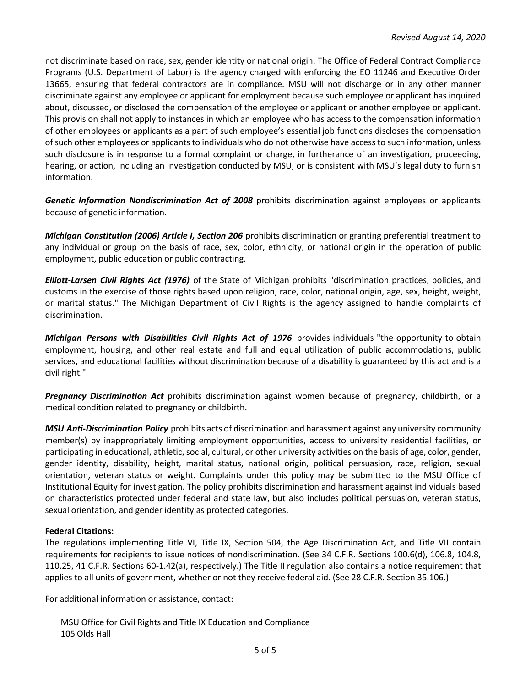not discriminate based on race, sex, gender identity or national origin. The Office of Federal Contract Compliance Programs (U.S. Department of Labor) is the agency charged with enforcing the EO 11246 and Executive Order 13665, ensuring that federal contractors are in compliance. MSU will not discharge or in any other manner discriminate against any employee or applicant for employment because such employee or applicant has inquired about, discussed, or disclosed the compensation of the employee or applicant or another employee or applicant. This provision shall not apply to instances in which an employee who has access to the compensation information of other employees or applicants as a part of such employee's essential job functions discloses the compensation ofsuch other employees or applicants to individuals who do not otherwise have accessto such information, unless such disclosure is in response to a formal complaint or charge, in furtherance of an investigation, proceeding, hearing, or action, including an investigation conducted by MSU, or is consistent with MSU's legal duty to furnish information.

*Genetic Information Nondiscrimination Act of 2008* prohibits discrimination against employees or applicants because of genetic information.

*Michigan Constitution (2006) Article I, Section 206* prohibits discrimination or granting preferential treatment to any individual or group on the basis of race, sex, color, ethnicity, or national origin in the operation of public employment, public education or public contracting.

*Elliott‐Larsen Civil Rights Act (1976)* of the State of Michigan prohibits "discrimination practices, policies, and customs in the exercise of those rights based upon religion, race, color, national origin, age, sex, height, weight, or marital status." The Michigan Department of Civil Rights is the agency assigned to handle complaints of discrimination.

*Michigan Persons with Disabilities Civil Rights Act of 1976* provides individuals "the opportunity to obtain employment, housing, and other real estate and full and equal utilization of public accommodations, public services, and educational facilities without discrimination because of a disability is guaranteed by this act and is a civil right."

*Pregnancy Discrimination Act* prohibits discrimination against women because of pregnancy, childbirth, or a medical condition related to pregnancy or childbirth.

*MSU Anti‐Discrimination Policy* prohibits acts of discrimination and harassment against any university community member(s) by inappropriately limiting employment opportunities, access to university residential facilities, or participating in educational, athletic, social, cultural, or other university activities on the basis of age, color, gender, gender identity, disability, height, marital status, national origin, political persuasion, race, religion, sexual orientation, veteran status or weight. Complaints under this policy may be submitted to the MSU Office of Institutional Equity for investigation. The policy prohibits discrimination and harassment against individuals based on characteristics protected under federal and state law, but also includes political persuasion, veteran status, sexual orientation, and gender identity as protected categories.

## **Federal Citations:**

The regulations implementing Title VI, Title IX, Section 504, the Age Discrimination Act, and Title VII contain requirements for recipients to issue notices of nondiscrimination. (See 34 C.F.R. Sections 100.6(d), 106.8, 104.8, 110.25, 41 C.F.R. Sections 60‐1.42(a), respectively.) The Title II regulation also contains a notice requirement that applies to all units of government, whether or not they receive federal aid. (See 28 C.F.R. Section 35.106.)

For additional information or assistance, contact:

MSU Office for Civil Rights and Title IX Education and Compliance 105 Olds Hall